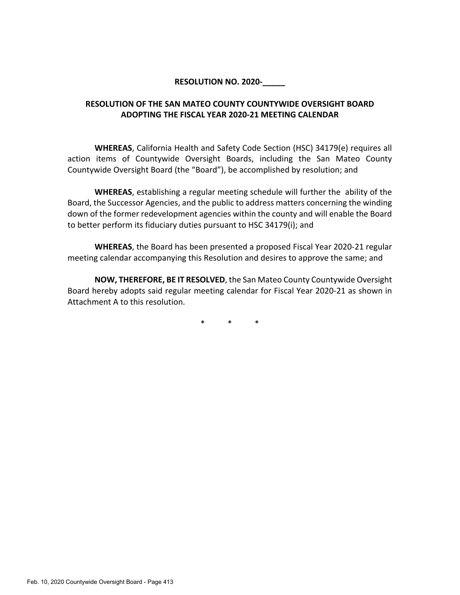#### **RESOLUTION NO. 2020-10**

### **RESOLUTION OF THE SAN MATEO COUNTY COUNTYWIDE OVERSIGHT BOARD ADOPTING THE FISCAL YEAR 2020-21 MEETING CALENDAR**

**WHEREAS**, California Health and Safety Code Section (HSC) 34179(e) requires all action items of Countywide Oversight Boards, including the San Mateo County Countywide Oversight Board (the "Board"), be accomplished by resolution; and

**WHEREAS**, establishing a regular meeting schedule will further the ability of the Board, the Successor Agencies, and the public to address matters concerning the winding down of the former redevelopment agencies within the county and will enable the Board to better perform its fiduciary duties pursuant to HSC 34179(i); and

**WHEREAS**, the Board has been presented a proposed Fiscal Year 2020-21 regular meeting calendar accompanying this Resolution and desires to approve the same; and

**NOW, THEREFORE, BE IT RESOLVED**, the San Mateo County Countywide Oversight Board hereby adopts said regular meeting calendar for Fiscal Year 2020-21 as shown in Attachment A to this resolution.

\* \* \*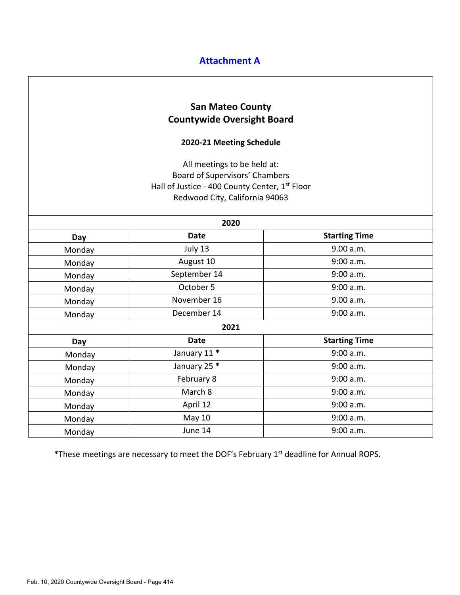# **Attachment A**

# **San Mateo County Countywide Oversight Board**

### **2020-21 Meeting Schedule**

All meetings to be held at: Board of Supervisors' Chambers Hall of Justice - 400 County Center, 1<sup>st</sup> Floor Redwood City, California 94063

| 2020   |              |                      |
|--------|--------------|----------------------|
| Day    | Date         | <b>Starting Time</b> |
| Monday | July 13      | 9.00 a.m.            |
| Monday | August 10    | 9:00 a.m.            |
| Monday | September 14 | 9:00 a.m.            |
| Monday | October 5    | 9:00 a.m.            |
| Monday | November 16  | 9.00 a.m.            |
| Monday | December 14  | 9:00 a.m.            |
| 2021   |              |                      |
| Day    | <b>Date</b>  | <b>Starting Time</b> |
| Monday | January 11 * | 9:00 a.m.            |
| Monday | January 25 * | 9:00 a.m.            |
| Monday | February 8   | 9:00 a.m.            |
| Monday | March 8      | 9:00 a.m.            |
| Monday | April 12     | 9:00 a.m.            |
| Monday | May 10       | 9:00 a.m.            |
| Monday | June 14      | 9:00 a.m.            |

**\***These meetings are necessary to meet the DOF's February 1st deadline for Annual ROPS.